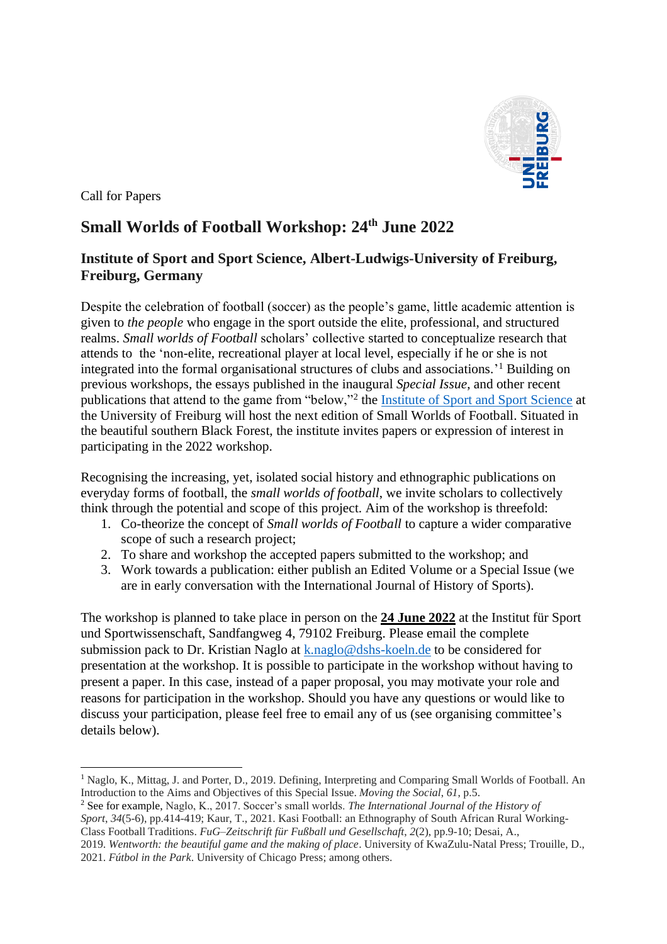

Call for Papers

## **Small Worlds of Football Workshop: 24th June 2022**

## **Institute of Sport and Sport Science, Albert-Ludwigs-University of Freiburg, Freiburg, Germany**

Despite the celebration of football (soccer) as the people's game, little academic attention is given to *the people* who engage in the sport outside the elite, professional, and structured realms. *Small worlds of Football* scholars' collective started to conceptualize research that attends to the 'non-elite, recreational player at local level, especially if he or she is not integrated into the formal organisational structures of clubs and associations.' <sup>1</sup> Building on previous workshops, the essays published in the inaugural *Special Issue*, and other recent publications that attend to the game from "below,"<sup>2</sup> the **Institute of Sport and Sport Science** at the University of Freiburg will host the next edition of Small Worlds of Football. Situated in the beautiful southern Black Forest, the institute invites papers or expression of interest in participating in the 2022 workshop.

Recognising the increasing, yet, isolated social history and ethnographic publications on everyday forms of football, the *small worlds of football*, we invite scholars to collectively think through the potential and scope of this project. Aim of the workshop is threefold:

- 1. Co-theorize the concept of *Small worlds of Football* to capture a wider comparative scope of such a research project;
- 2. To share and workshop the accepted papers submitted to the workshop; and
- 3. Work towards a publication: either publish an Edited Volume or a Special Issue (we are in early conversation with the International Journal of History of Sports).

The workshop is planned to take place in person on the **24 June 2022** at the Institut für Sport und Sportwissenschaft, Sandfangweg 4, 79102 Freiburg. Please email the complete submission pack to Dr. Kristian Naglo at [k.naglo@dshs-koeln.de](mailto:k.naglo@dshs-koeln.de) to be considered for presentation at the workshop. It is possible to participate in the workshop without having to present a paper. In this case, instead of a paper proposal, you may motivate your role and reasons for participation in the workshop. Should you have any questions or would like to discuss your participation, please feel free to email any of us (see organising committee's details below).

<sup>1</sup> Naglo, K., Mittag, J. and Porter, D., 2019. Defining, Interpreting and Comparing Small Worlds of Football. An Introduction to the Aims and Objectives of this Special Issue. *Moving the Social*, *61*, p.5.

<sup>2</sup> See for example, Naglo, K., 2017. Soccer's small worlds. *The International Journal of the History of Sport*, *34*(5-6), pp.414-419; Kaur, T., 2021. Kasi Football: an Ethnography of South African Rural Working-Class Football Traditions. *FuG–Zeitschrift für Fußball und Gesellschaft*, *2*(2), pp.9-10; Desai, A.,

<sup>2019.</sup> *Wentworth: the beautiful game and the making of place*. University of KwaZulu-Natal Press; Trouille, D., 2021. *Fútbol in the Park*. University of Chicago Press; among others.